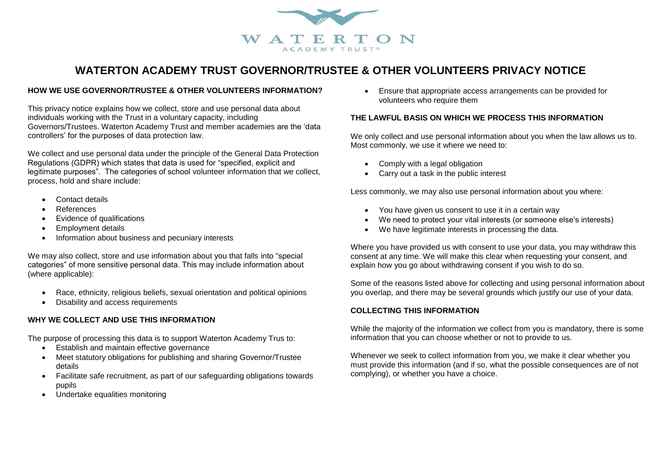

# **WATERTON ACADEMY TRUST GOVERNOR/TRUSTEE & OTHER VOLUNTEERS PRIVACY NOTICE**

### **HOW WE USE GOVERNOR/TRUSTEE & OTHER VOLUNTEERS INFORMATION?**

This privacy notice explains how we collect, store and use personal data about individuals working with the Trust in a voluntary capacity, including Governors/Trustees. Waterton Academy Trust and member academies are the 'data controllers' for the purposes of data protection law.

We collect and use personal data under the principle of the General Data Protection Regulations (GDPR) which states that data is used for "specified, explicit and legitimate purposes". The categories of school volunteer information that we collect, process, hold and share include:

- Contact details
- References
- Evidence of qualifications
- Employment details
- Information about business and pecuniary interests

We may also collect, store and use information about you that falls into "special categories" of more sensitive personal data. This may include information about (where applicable):

- Race, ethnicity, religious beliefs, sexual orientation and political opinions
- Disability and access requirements

## **WHY WE COLLECT AND USE THIS INFORMATION**

The purpose of processing this data is to support Waterton Academy Trus to:

- **Establish and maintain effective governance**
- Meet statutory obligations for publishing and sharing Governor/Trustee details
- Facilitate safe recruitment, as part of our safeguarding obligations towards pupils
- Undertake equalities monitoring

 Ensure that appropriate access arrangements can be provided for volunteers who require them

#### **THE LAWFUL BASIS ON WHICH WE PROCESS THIS INFORMATION**

We only collect and use personal information about you when the law allows us to. Most commonly, we use it where we need to:

- Comply with a legal obligation
- Carry out a task in the public interest

Less commonly, we may also use personal information about you where:

- You have given us consent to use it in a certain way
- We need to protect your vital interests (or someone else's interests)
- We have legitimate interests in processing the data.

Where you have provided us with consent to use your data, you may withdraw this consent at any time. We will make this clear when requesting your consent, and explain how you go about withdrawing consent if you wish to do so.

Some of the reasons listed above for collecting and using personal information about you overlap, and there may be several grounds which justify our use of your data.

#### **COLLECTING THIS INFORMATION**

While the majority of the information we collect from you is mandatory, there is some information that you can choose whether or not to provide to us.

Whenever we seek to collect information from you, we make it clear whether you must provide this information (and if so, what the possible consequences are of not complying), or whether you have a choice.